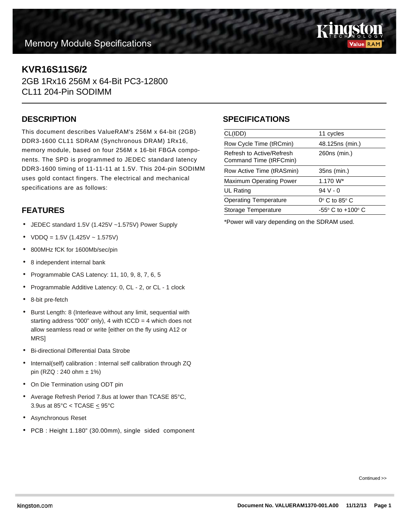# **Memory Module Specifications**



## **KVR16S11S6/2**

2GB 1Rx16 256M x 64-Bit PC3-12800 CL11 204-Pin SODIMM

#### **DESCRIPTION**

This document describes ValueRAM's 256M x 64-bit (2GB) DDR3-1600 CL11 SDRAM (Synchronous DRAM) 1Rx16, memory module, based on four 256M x 16-bit FBGA components. The SPD is programmed to JEDEC standard latency DDR3-1600 timing of 11-11-11 at 1.5V. This 204-pin SODIMM uses gold contact fingers. The electrical and mechanical specifications are as follows:

### **FEATURES**

- JEDEC standard 1.5V (1.425V ~1.575V) Power Supply
- $VDDQ = 1.5V (1.425V 1.575V)$
- 800MHz fCK for 1600Mb/sec/pin
- 8 independent internal bank
- Programmable CAS Latency: 11, 10, 9, 8, 7, 6, 5
- Programmable Additive Latency: 0, CL 2, or CL 1 clock
- 8-bit pre-fetch
- Burst Length: 8 (Interleave without any limit, sequential with starting address "000" only), 4 with  $tCCD = 4$  which does not allow seamless read or write [either on the fly using A12 or MRS]
- Bi-directional Differential Data Strobe
- Internal(self) calibration : Internal self calibration through ZQ pin (RZQ : 240 ohm ± 1%)
- On Die Termination using ODT pin
- Average Refresh Period 7.8us at lower than TCASE 85°C, 3.9us at 85 $°C <$  TCASE  $\leq$  95 $°C$
- Asynchronous Reset
- PCB : Height 1.180" (30.00mm), single sided component

#### **SPECIFICATIONS**

| CL(IDD)                                             | 11 cycles                           |
|-----------------------------------------------------|-------------------------------------|
| Row Cycle Time (tRCmin)                             | 48.125ns (min.)                     |
| Refresh to Active/Refresh<br>Command Time (tRFCmin) | 260ns (min.)                        |
| Row Active Time (tRASmin)                           | 35ns (min.)                         |
| <b>Maximum Operating Power</b>                      | 1.170 W <sup>*</sup>                |
| UL Rating                                           | $94V - 0$                           |
| <b>Operating Temperature</b>                        | $0^\circ$ C to 85 $^\circ$ C        |
| Storage Temperature                                 | $-55^{\circ}$ C to $+100^{\circ}$ C |
|                                                     |                                     |

\*Power will vary depending on the SDRAM used.

Continued >>